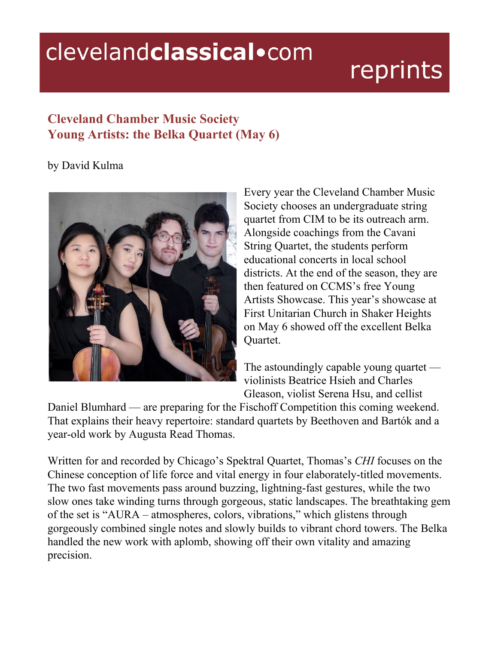## clevelandclassical.com

## reprints

## **Cleveland Chamber Music Society Young Artists: the Belka Quartet (May 6)**

## by David Kulma



Every year the Cleveland Chamber Music Society chooses an undergraduate string quartet from CIM to be its outreach arm. Alongside coachings from the Cavani String Quartet, the students perform educational concerts in local school districts. At the end of the season, they are then featured on CCMS's free Young Artists Showcase. This year's showcase at First Unitarian Church in Shaker Heights on May 6 showed off the excellent Belka Quartet.

The astoundingly capable young quartet violinists Beatrice Hsieh and Charles Gleason, violist Serena Hsu, and cellist

Daniel Blumhard — are preparing for the Fischoff Competition this coming weekend. That explains their heavy repertoire: standard quartets by Beethoven and Bartók and a year-old work by Augusta Read Thomas.

Written for and recorded by Chicago's Spektral Quartet, Thomas's *CHI* focuses on the Chinese conception of life force and vital energy in four elaborately-titled movements. The two fast movements pass around buzzing, lightning-fast gestures, while the two slow ones take winding turns through gorgeous, static landscapes. The breathtaking gem of the set is "AURA – atmospheres, colors, vibrations," which glistens through gorgeously combined single notes and slowly builds to vibrant chord towers. The Belka handled the new work with aplomb, showing off their own vitality and amazing precision.